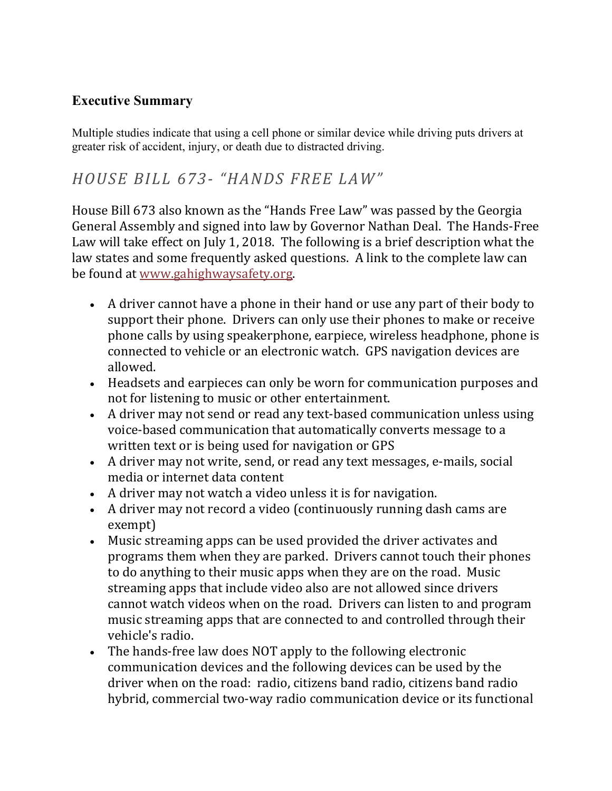### **Executive Summary**

Multiple studies indicate that using a cell phone or similar device while driving puts drivers at greater risk of accident, injury, or death due to distracted driving.

### *HOUSE BILL 673- "HANDS FREE LAW"*

House Bill 673 also known as the "Hands Free Law" was passed by the Georgia General Assembly and signed into law by Governor Nathan Deal. The Hands-Free Law will take effect on July 1, 2018. The following is a brief description what the law states and some frequently asked questions. A link to the complete law can be found at [www.gahighwaysafety.org.](http://www.gahighwaysafety.org/)

- A driver cannot have a phone in their hand or use any part of their body to support their phone. Drivers can only use their phones to make or receive phone calls by using speakerphone, earpiece, wireless headphone, phone is connected to vehicle or an electronic watch. GPS navigation devices are allowed.
- Headsets and earpieces can only be worn for communication purposes and not for listening to music or other entertainment.
- A driver may not send or read any text-based communication unless using voice-based communication that automatically converts message to a written text or is being used for navigation or GPS
- A driver may not write, send, or read any text messages, e-mails, social media or internet data content
- A driver may not watch a video unless it is for navigation.
- A driver may not record a video (continuously running dash cams are exempt)
- Music streaming apps can be used provided the driver activates and programs them when they are parked. Drivers cannot touch their phones to do anything to their music apps when they are on the road. Music streaming apps that include video also are not allowed since drivers cannot watch videos when on the road. Drivers can listen to and program music streaming apps that are connected to and controlled through their vehicle's radio.
- The hands-free law does NOT apply to the following electronic communication devices and the following devices can be used by the driver when on the road: radio, citizens band radio, citizens band radio hybrid, commercial two-way radio communication device or its functional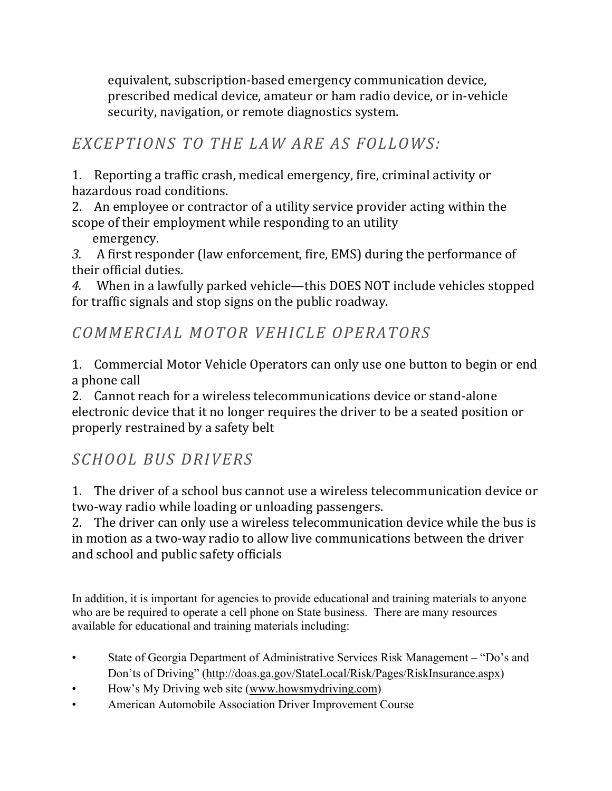equivalent, subscription-based emergency communication device, prescribed medical device, amateur or ham radio device, or in-vehicle security, navigation, or remote diagnostics system.

## *EXCEPTIONS TO THE LAW ARE AS FOLLOWS:*

1. Reporting a traffic crash, medical emergency, fire, criminal activity or hazardous road conditions.

2. An employee or contractor of a utility service provider acting within the scope of their employment while responding to an utility

emergency.

*3.* A first responder (law enforcement, fire, EMS) during the performance of their official duties.

*4.* When in a lawfully parked vehicle—this DOES NOT include vehicles stopped for traffic signals and stop signs on the public roadway.

## *COMMERCIAL MOTOR VEHICLE OPERATORS*

1. Commercial Motor Vehicle Operators can only use one button to begin or end a phone call

2. Cannot reach for a wireless telecommunications device or stand-alone electronic device that it no longer requires the driver to be a seated position or properly restrained by a safety belt

# *SCHOOL BUS DRIVERS*

1. The driver of a school bus cannot use a wireless telecommunication device or two-way radio while loading or unloading passengers.

2. The driver can only use a wireless telecommunication device while the bus is in motion as a two-way radio to allow live communications between the driver and school and public safety officials

In addition, it is important for agencies to provide educational and training materials to anyone who are be required to operate a cell phone on State business. There are many resources available for educational and training materials including:

- State of Georgia Department of Administrative Services Risk Management "Do's and Don'ts of Driving" (http://doas.ga.gov/StateLocal/Risk/Pages/RiskInsurance.aspx)
- How's My Driving web site (www.howsmydriving.com)
- American Automobile Association Driver Improvement Course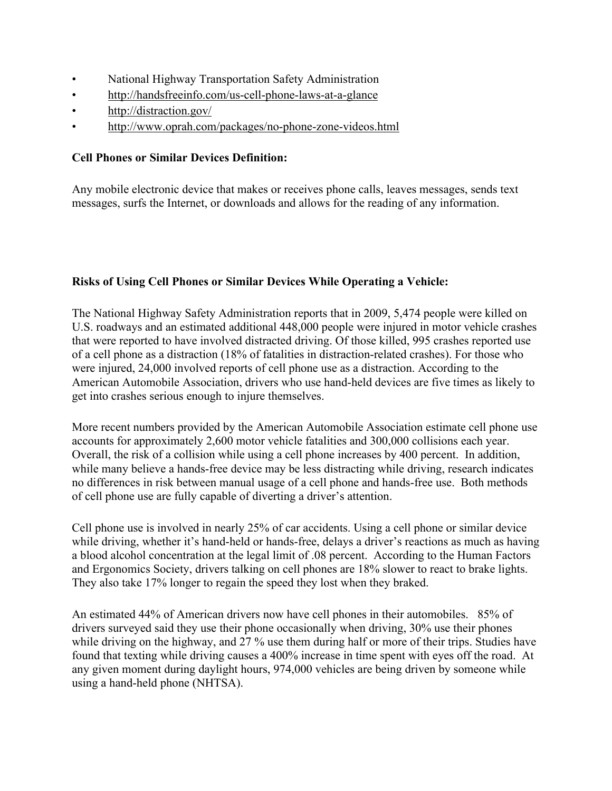- National Highway Transportation Safety Administration
- http://handsfreeinfo.com/us-cell-phone-laws-at-a-glance
- http://distraction.gov/
- http://www.oprah.com/packages/no-phone-zone-videos.html

#### **Cell Phones or Similar Devices Definition:**

Any mobile electronic device that makes or receives phone calls, leaves messages, sends text messages, surfs the Internet, or downloads and allows for the reading of any information.

#### **Risks of Using Cell Phones or Similar Devices While Operating a Vehicle:**

The National Highway Safety Administration reports that in 2009, 5,474 people were killed on U.S. roadways and an estimated additional 448,000 people were injured in motor vehicle crashes that were reported to have involved distracted driving. Of those killed, 995 crashes reported use of a cell phone as a distraction (18% of fatalities in distraction-related crashes). For those who were injured, 24,000 involved reports of cell phone use as a distraction. According to the American Automobile Association, drivers who use hand-held devices are five times as likely to get into crashes serious enough to injure themselves.

More recent numbers provided by the American Automobile Association estimate cell phone use accounts for approximately 2,600 motor vehicle fatalities and 300,000 collisions each year. Overall, the risk of a collision while using a cell phone increases by 400 percent. In addition, while many believe a hands-free device may be less distracting while driving, research indicates no differences in risk between manual usage of a cell phone and hands-free use. Both methods of cell phone use are fully capable of diverting a driver's attention.

Cell phone use is involved in nearly 25% of car accidents. Using a cell phone or similar device while driving, whether it's hand-held or hands-free, delays a driver's reactions as much as having a blood alcohol concentration at the legal limit of .08 percent. According to the Human Factors and Ergonomics Society, drivers talking on cell phones are 18% slower to react to brake lights. They also take 17% longer to regain the speed they lost when they braked.

An estimated 44% of American drivers now have cell phones in their automobiles. 85% of drivers surveyed said they use their phone occasionally when driving, 30% use their phones while driving on the highway, and 27 % use them during half or more of their trips. Studies have found that texting while driving causes a 400% increase in time spent with eyes off the road. At any given moment during daylight hours, 974,000 vehicles are being driven by someone while using a hand-held phone (NHTSA).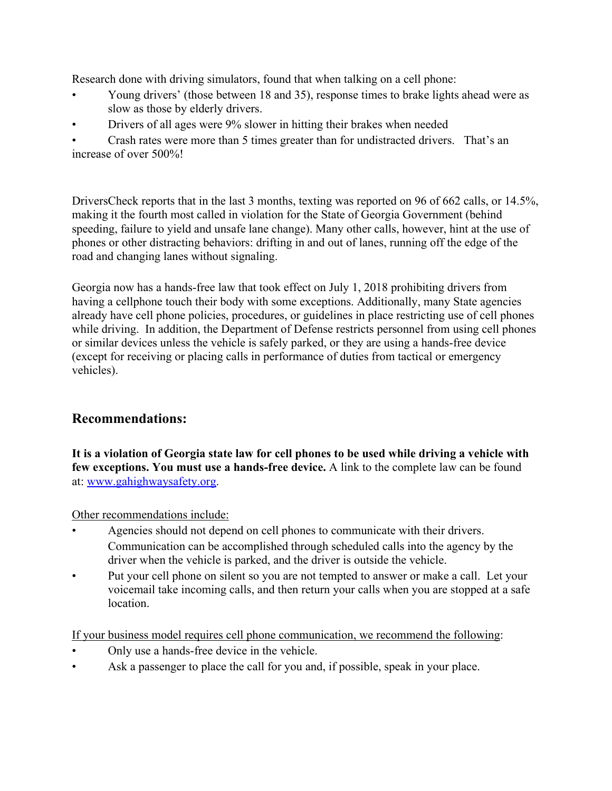Research done with driving simulators, found that when talking on a cell phone:

- Young drivers' (those between 18 and 35), response times to brake lights ahead were as slow as those by elderly drivers.
- Drivers of all ages were 9% slower in hitting their brakes when needed

• Crash rates were more than 5 times greater than for undistracted drivers. That's an increase of over 500%!

DriversCheck reports that in the last 3 months, texting was reported on 96 of 662 calls, or 14.5%, making it the fourth most called in violation for the State of Georgia Government (behind speeding, failure to yield and unsafe lane change). Many other calls, however, hint at the use of phones or other distracting behaviors: drifting in and out of lanes, running off the edge of the road and changing lanes without signaling.

Georgia now has a hands-free law that took effect on July 1, 2018 prohibiting drivers from having a cellphone touch their body with some exceptions. Additionally, many State agencies already have cell phone policies, procedures, or guidelines in place restricting use of cell phones while driving. In addition, the Department of Defense restricts personnel from using cell phones or similar devices unless the vehicle is safely parked, or they are using a hands-free device (except for receiving or placing calls in performance of duties from tactical or emergency vehicles).

### **Recommendations:**

**It is a violation of Georgia state law for cell phones to be used while driving a vehicle with few exceptions. You must use a hands-free device.** A link to the complete law can be found at: [www.gahighwaysafety.org.](http://www.gahighwaysafety.org/)

Other recommendations include:

- Agencies should not depend on cell phones to communicate with their drivers. Communication can be accomplished through scheduled calls into the agency by the driver when the vehicle is parked, and the driver is outside the vehicle.
- Put your cell phone on silent so you are not tempted to answer or make a call. Let your voicemail take incoming calls, and then return your calls when you are stopped at a safe location.

If your business model requires cell phone communication, we recommend the following:

- Only use a hands-free device in the vehicle.
- Ask a passenger to place the call for you and, if possible, speak in your place.